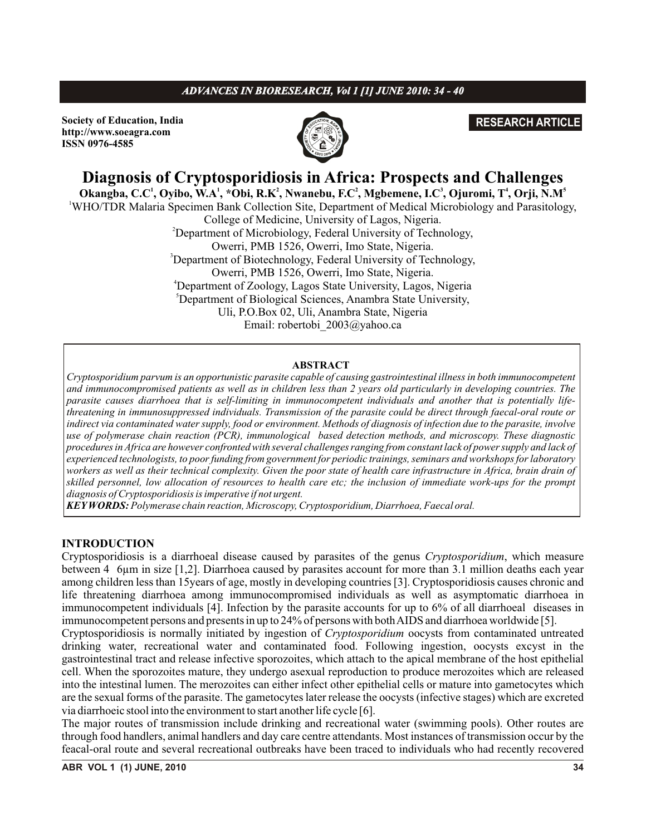# *ADVANCES IN BIORESEARCH, Vol 1 [1] JUNE 2010: 34 - 40*

**Society of Education, India http://www.soeagra.com ISSN 0976-4585**



# **RESEARCH ARTICLE**

# **Diagnosis of Cryptosporidiosis in Africa: Prospects and Challenges**

**<sup>1</sup> <sup>1</sup> <sup>2</sup> <sup>2</sup> <sup>3</sup> <sup>4</sup> <sup>5</sup> Okangba, C.C , Oyibo, W.A , \*Obi, R.K , Nwanebu, F.C , Mgbemene, I.C , Ojuromi, T , Orji, N.M**

<sup>1</sup>WHO/TDR Malaria Specimen Bank Collection Site, Department of Medical Microbiology and Parasitology, College of Medicine, University of Lagos, Nigeria.

<sup>2</sup>Department of Microbiology, Federal University of Technology, Owerri, PMB 1526, Owerri, Imo State, Nigeria. <sup>3</sup>Department of Biotechnology, Federal University of Technology, Owerri, PMB 1526, Owerri, Imo State, Nigeria. <sup>4</sup>Department of Zoology, Lagos State University, Lagos, Nigeria <sup>5</sup>Department of Biological Sciences, Anambra State University, Uli, P.O.Box 02, Uli, Anambra State, Nigeria

Email: robertobi\_2003@yahoo.ca

#### **ABSTRACT**

*Cryptosporidium parvum is an opportunistic parasite capable of causing gastrointestinal illness in both immunocompetent and immunocompromised patients as well as in children less than 2 years old particularly in developing countries. The parasite causes diarrhoea that is self-limiting in immunocompetent individuals and another that is potentially lifethreatening in immunosuppressed individuals. Transmission of the parasite could be direct through faecal-oral route or indirect via contaminated water supply, food or environment. Methods of diagnosis of infection due to the parasite, involve use of polymerase chain reaction (PCR), immunological based detection methods, and microscopy. These diagnostic procedures in Africa are however confronted with several challenges ranging from constant lack of power supply and lack of experienced technologists, to poor funding from government for periodic trainings, seminars and workshops for laboratory workers as well as their technical complexity. Given the poor state of health care infrastructure in Africa, brain drain of skilled personnel, low allocation of resources to health care etc; the inclusion of immediate work-ups for the prompt diagnosis of Cryptosporidiosis is imperative if not urgent.*

*KEYWORDS: Polymerase chain reaction, Microscopy, Cryptosporidium, Diarrhoea, Faecal oral.*

### **INTRODUCTION**

Cryptosporidiosis is a diarrhoeal disease caused by parasites of the genus *Cryptosporidium*, which measure between 4 6µm in size [1,2]. Diarrhoea caused by parasites account for more than 3.1 million deaths each year among children less than 15years of age, mostly in developing countries [3]. Cryptosporidiosis causes chronic and life threatening diarrhoea among immunocompromised individuals as well as asymptomatic diarrhoea in immunocompetent individuals [4]. Infection by the parasite accounts for up to 6% of all diarrhoeal diseases in immunocompetent persons and presents in up to 24% of persons with both AIDS and diarrhoea worldwide [5].

Cryptosporidiosis is normally initiated by ingestion of *Cryptosporidium* oocysts from contaminated untreated drinking water, recreational water and contaminated food. Following ingestion, oocysts excyst in the gastrointestinal tract and release infective sporozoites, which attach to the apical membrane of the host epithelial cell. When the sporozoites mature, they undergo asexual reproduction to produce merozoites which are released into the intestinal lumen. The merozoites can either infect other epithelial cells or mature into gametocytes which are the sexual forms of the parasite. The gametocytes later release the oocysts (infective stages) which are excreted via diarrhoeic stool into the environment to start another life cycle [6].

The major routes of transmission include drinking and recreational water (swimming pools). Other routes are through food handlers, animal handlers and day care centre attendants. Most instances of transmission occur by the feacal-oral route and several recreational outbreaks have been traced to individuals who had recently recovered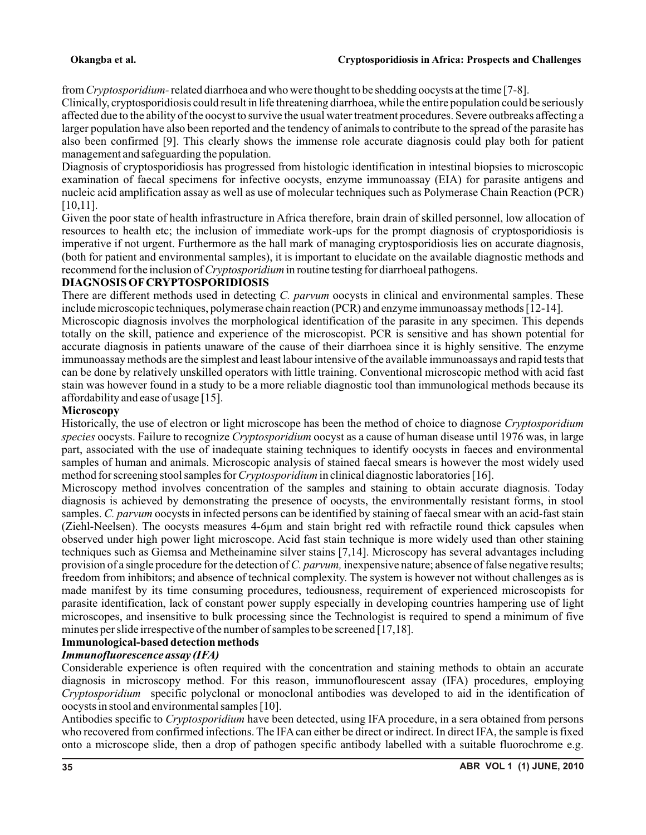#### **Okangba et al. Cryptosporidiosis in Africa: Prospects and Challenges**

from *Cryptosporidium-*related diarrhoea and who were thought to be shedding oocysts at the time [7-8].

Clinically, cryptosporidiosis could result in life threatening diarrhoea, while the entire population could be seriously affected due to the ability of the oocyst to survive the usual water treatment procedures. Severe outbreaks affecting a larger population have also been reported and the tendency of animals to contribute to the spread of the parasite has also been confirmed [9]. This clearly shows the immense role accurate diagnosis could play both for patient management and safeguarding the population.

Diagnosis of cryptosporidiosis has progressed from histologic identification in intestinal biopsies to microscopic examination of faecal specimens for infective oocysts, enzyme immunoassay (EIA) for parasite antigens and nucleic acid amplification assay as well as use of molecular techniques such as Polymerase Chain Reaction (PCR) [10,11].

Given the poor state of health infrastructure in Africa therefore, brain drain of skilled personnel, low allocation of resources to health etc; the inclusion of immediate work-ups for the prompt diagnosis of cryptosporidiosis is imperative if not urgent. Furthermore as the hall mark of managing cryptosporidiosis lies on accurate diagnosis, (both for patient and environmental samples), it is important to elucidate on the available diagnostic methods and recommend for the inclusion of *Cryptosporidium* in routine testing for diarrhoeal pathogens.

# **DIAGNOSIS OFCRYPTOSPORIDIOSIS**

There are different methods used in detecting *C. parvum* oocysts in clinical and environmental samples. These include microscopic techniques, polymerase chain reaction (PCR) and enzyme immunoassay methods [12-14].

Microscopic diagnosis involves the morphological identification of the parasite in any specimen. This depends totally on the skill, patience and experience of the microscopist. PCR is sensitive and has shown potential for accurate diagnosis in patients unaware of the cause of their diarrhoea since it is highly sensitive. The enzyme immunoassay methods are the simplest and least labour intensive of the available immunoassays and rapid tests that can be done by relatively unskilled operators with little training. Conventional microscopic method with acid fast stain was however found in a study to be a more reliable diagnostic tool than immunological methods because its affordability and ease of usage [15].

# **Microscopy**

Historically, the use of electron or light microscope has been the method of choice to diagnose *Cryptosporidium species* oocysts. Failure to recognize *Cryptosporidium* oocyst as a cause of human disease until 1976 was, in large part, associated with the use of inadequate staining techniques to identify oocysts in faeces and environmental samples of human and animals. Microscopic analysis of stained faecal smears is however the most widely used method for screening stool samples for *Cryptosporidium* in clinical diagnostic laboratories [16].

Microscopy method involves concentration of the samples and staining to obtain accurate diagnosis. Today diagnosis is achieved by demonstrating the presence of oocysts, the environmentally resistant forms, in stool samples. *C. parvum* oocysts in infected persons can be identified by staining of faecal smear with an acid-fast stain (Ziehl-Neelsen). The oocysts measures 4-6µm and stain bright red with refractile round thick capsules when observed under high power light microscope. Acid fast stain technique is more widely used than other staining techniques such as Giemsa and Metheinamine silver stains [7,14]. Microscopy has several advantages including provision of a single procedure for the detection of *C. parvum,* inexpensive nature; absence of false negative results; freedom from inhibitors; and absence of technical complexity. The system is however not without challenges as is made manifest by its time consuming procedures, tediousness, requirement of experienced microscopists for parasite identification, lack of constant power supply especially in developing countries hampering use of light microscopes, and insensitive to bulk processing since the Technologist is required to spend a minimum of five minutes per slide irrespective of the number of samples to be screened [17,18].

# **Immunological-based detection methods**

# *Immunofluorescence assay (IFA)*

Considerable experience is often required with the concentration and staining methods to obtain an accurate diagnosis in microscopy method. For this reason, immunoflourescent assay (IFA) procedures, employing *Cryptosporidium* specific polyclonal or monoclonal antibodies was developed to aid in the identification of oocysts in stool and environmental samples [10].

Antibodies specific to *Cryptosporidium* have been detected, using IFA procedure, in a sera obtained from persons who recovered from confirmed infections. The IFAcan either be direct or indirect. In direct IFA, the sample is fixed onto a microscope slide, then a drop of pathogen specific antibody labelled with a suitable fluorochrome e.g.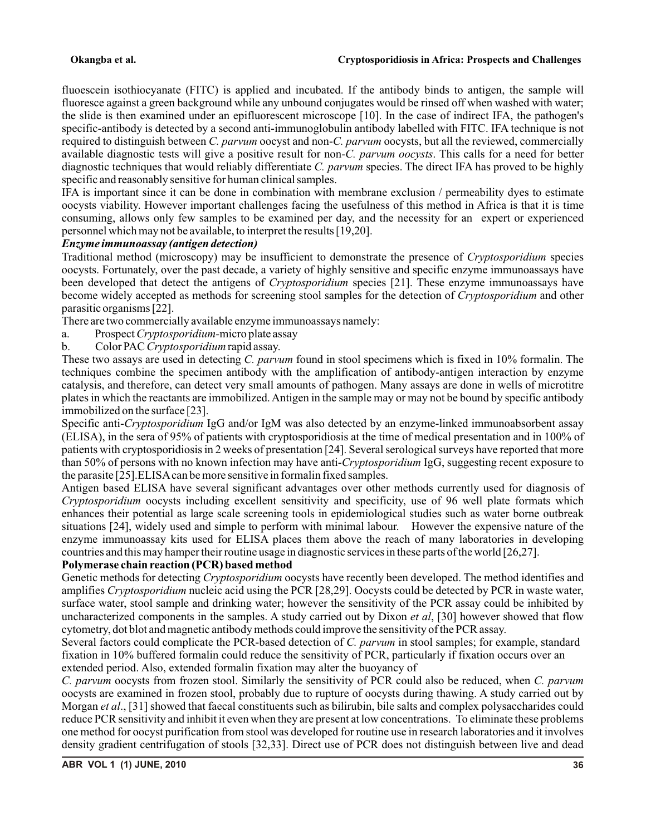#### **Okangba et al. Cryptosporidiosis in Africa: Prospects and Challenges**

fluoescein isothiocyanate (FITC) is applied and incubated. If the antibody binds to antigen, the sample will fluoresce against a green background while any unbound conjugates would be rinsed off when washed with water; the slide is then examined under an epifluorescent microscope [10]. In the case of indirect IFA, the pathogen's specific-antibody is detected by a second anti-immunoglobulin antibody labelled with FITC. IFA technique is not required to distinguish between *C. parvum* oocyst and non-*C. parvum* oocysts, but all the reviewed, commercially available diagnostic tests will give a positive result for non-*C. parvum oocysts*. This calls for a need for better diagnostic techniques that would reliably differentiate *C. parvum* species. The direct IFA has proved to be highly specific and reasonably sensitive for human clinical samples.

IFA is important since it can be done in combination with membrane exclusion / permeability dyes to estimate oocysts viability. However important challenges facing the usefulness of this method in Africa is that it is time consuming, allows only few samples to be examined per day, and the necessity for an expert or experienced personnel which may not be available, to interpret the results [19,20].

### *Enzyme immunoassay (antigen detection)*

Traditional method (microscopy) may be insufficient to demonstrate the presence of *Cryptosporidium* species oocysts. Fortunately, over the past decade, a variety of highly sensitive and specific enzyme immunoassays have been developed that detect the antigens of *Cryptosporidium* species [21]. These enzyme immunoassays have become widely accepted as methods for screening stool samples for the detection of *Cryptosporidium* and other parasitic organisms [22].

There are two commercially available enzyme immunoassays namely:

- a. Prospect *Cryptosporidium-*micro plate assay
- b. Color PAC *Cryptosporidium* rapid assay.

These two assays are used in detecting *C. parvum* found in stool specimens which is fixed in 10% formalin. The techniques combine the specimen antibody with the amplification of antibody-antigen interaction by enzyme catalysis, and therefore, can detect very small amounts of pathogen. Many assays are done in wells of microtitre plates in which the reactants are immobilized. Antigen in the sample may or may not be bound by specific antibody immobilized on the surface [23].

Specific anti-*Cryptosporidium* IgG and/or IgM was also detected by an enzyme-linked immunoabsorbent assay (ELISA), in the sera of 95% of patients with cryptosporidiosis at the time of medical presentation and in 100% of patients with cryptosporidiosis in 2 weeks of presentation [24]. Several serological surveys have reported that more than 50% of persons with no known infection may have anti-*Cryptosporidium* IgG, suggesting recent exposure to the parasite [25].ELISAcan be more sensitive in formalin fixed samples.

Antigen based ELISA have several significant advantages over other methods currently used for diagnosis of *Cryptosporidium* oocysts including excellent sensitivity and specificity, use of 96 well plate formats which enhances their potential as large scale screening tools in epidemiological studies such as water borne outbreak situations [24], widely used and simple to perform with minimal labour. However the expensive nature of the enzyme immunoassay kits used for ELISA places them above the reach of many laboratories in developing countries and this may hamper their routine usage in diagnostic services in these parts of the world [26,27].

### **Polymerase chain reaction (PCR) based method**

Genetic methods for detecting *Cryptosporidium* oocysts have recently been developed. The method identifies and amplifies *Cryptosporidium* nucleic acid using the PCR [28,29]. Oocysts could be detected by PCR in waste water, surface water, stool sample and drinking water; however the sensitivity of the PCR assay could be inhibited by uncharacterized components in the samples. A study carried out by Dixon *et al*, [30] however showed that flow cytometry, dot blot and magnetic antibody methods could improve the sensitivity of the PCR assay.

Several factors could complicate the PCR-based detection of *C. parvum* in stool samples; for example, standard fixation in 10% buffered formalin could reduce the sensitivity of PCR, particularly if fixation occurs over an extended period. Also, extended formalin fixation may alter the buoyancy of

*C. parvum* oocysts from frozen stool. Similarly the sensitivity of PCR could also be reduced, when *C. parvum* oocysts are examined in frozen stool, probably due to rupture of oocysts during thawing. A study carried out by Morgan *et al*., [31] showed that faecal constituents such as bilirubin, bile salts and complex polysaccharides could reduce PCR sensitivity and inhibit it even when they are present at low concentrations. To eliminate these problems one method for oocyst purification from stool was developed for routine use in research laboratories and it involves density gradient centrifugation of stools [32,33]. Direct use of PCR does not distinguish between live and dead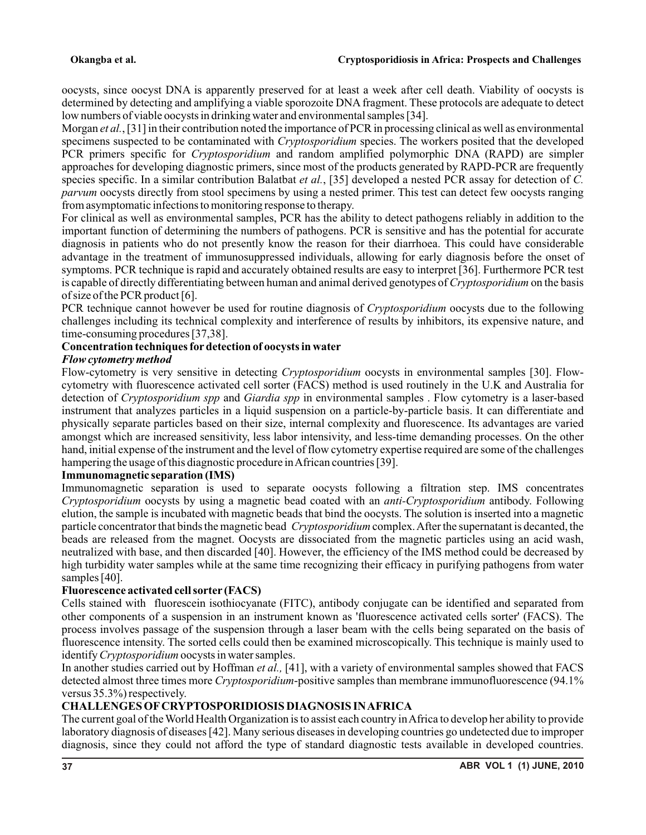oocysts, since oocyst DNA is apparently preserved for at least a week after cell death. Viability of oocysts is determined by detecting and amplifying a viable sporozoite DNAfragment. These protocols are adequate to detect low numbers of viable oocysts in drinking water and environmental samples [34].

Morgan *et al.*, [31] in their contribution noted the importance of PCR in processing clinical as well as environmental specimens suspected to be contaminated with *Cryptosporidium* species. The workers posited that the developed PCR primers specific for *Cryptosporidium* and random amplified polymorphic DNA (RAPD) are simpler approaches for developing diagnostic primers, since most of the products generated by RAPD-PCR are frequently species specific. In a similar contribution Balatbat *et al.*, [35] developed a nested PCR assay for detection of *C. parvum* oocysts directly from stool specimens by using a nested primer. This test can detect few oocysts ranging from asymptomatic infections to monitoring response to therapy.

For clinical as well as environmental samples, PCR has the ability to detect pathogens reliably in addition to the important function of determining the numbers of pathogens. PCR is sensitive and has the potential for accurate diagnosis in patients who do not presently know the reason for their diarrhoea. This could have considerable advantage in the treatment of immunosuppressed individuals, allowing for early diagnosis before the onset of symptoms. PCR technique is rapid and accurately obtained results are easy to interpret [36]. Furthermore PCR test is capable of directly differentiating between human and animal derived genotypes of *Cryptosporidium* on the basis of size of the PCR product [6].

PCR technique cannot however be used for routine diagnosis of *Cryptosporidium* oocysts due to the following challenges including its technical complexity and interference of results by inhibitors, its expensive nature, and time-consuming procedures [37,38].

# **Concentration techniques fordetection of oocysts in water**

# *Flow cytometry method*

Flow-cytometry is very sensitive in detecting *Cryptosporidium* oocysts in environmental samples [30]. Flowcytometry with fluorescence activated cell sorter (FACS) method is used routinely in the U.K and Australia for detection of *Cryptosporidium spp* and *Giardia spp* in environmental samples . Flow cytometry is a laser-based instrument that analyzes particles in a liquid suspension on a particle-by-particle basis. It can differentiate and physically separate particles based on their size, internal complexity and fluorescence. Its advantages are varied amongst which are increased sensitivity, less labor intensivity, and less-time demanding processes. On the other hand, initial expense of the instrument and the level of flow cytometry expertise required are some of the challenges hampering the usage of this diagnostic procedure in African countries [39].

### **Immunomagnetic separation (IMS)**

Immunomagnetic separation is used to separate oocysts following a filtration step. IMS concentrates *Cryptosporidium* oocysts by using a magnetic bead coated with an *anti-Cryptosporidium* antibody. Following elution, the sample is incubated with magnetic beads that bind the oocysts. The solution is inserted into a magnetic particle concentrator that binds the magnetic bead *Cryptosporidium* complex. After the supernatant is decanted, the beads are released from the magnet. Oocysts are dissociated from the magnetic particles using an acid wash, neutralized with base, and then discarded [40]. However, the efficiency of the IMS method could be decreased by high turbidity water samples while at the same time recognizing their efficacy in purifying pathogens from water samples [40].

### **Fluorescence activated cell sorter (FACS)**

Cells stained with fluorescein isothiocyanate (FITC), antibody conjugate can be identified and separated from other components of a suspension in an instrument known as 'fluorescence activated cells sorter' (FACS). The process involves passage of the suspension through a laser beam with the cells being separated on the basis of fluorescence intensity. The sorted cells could then be examined microscopically. This technique is mainly used to identify *Cryptosporidium* oocysts in water samples.

In another studies carried out by Hoffman *et al.,* [41], with a variety of environmental samples showed that FACS detected almost three times more *Cryptosporidium*-positive samples than membrane immunofluorescence (94.1% versus 35.3%) respectively.

# **CHALLENGES OFCRYPTOSPORIDIOSIS DIAGNOSIS IN AFRICA**

The current goal of the World Health Organization is to assist each country in Africa to develop her ability to provide laboratory diagnosis of diseases [42]. Many serious diseases in developing countries go undetected due to improper diagnosis, since they could not afford the type of standard diagnostic tests available in developed countries.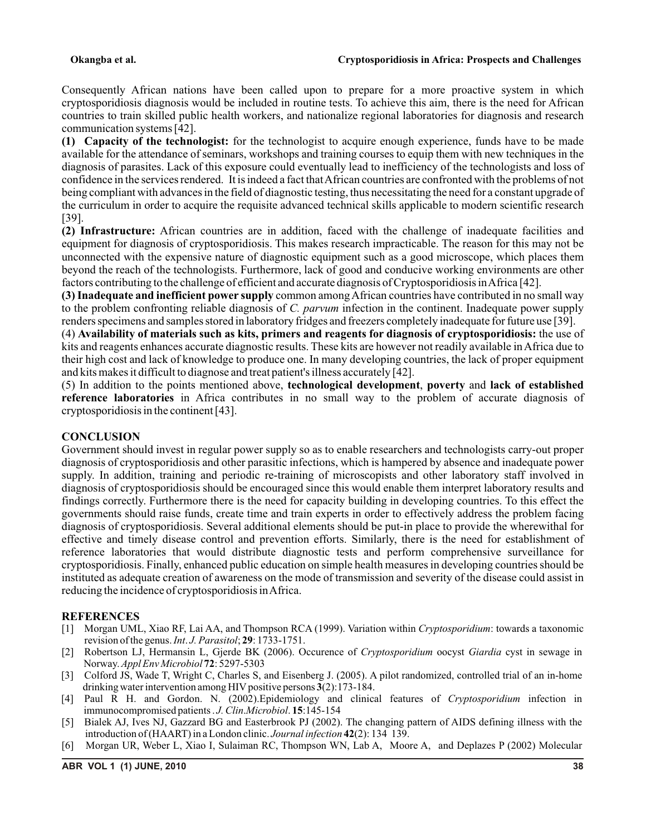Consequently African nations have been called upon to prepare for a more proactive system in which cryptosporidiosis diagnosis would be included in routine tests. To achieve this aim, there is the need for African countries to train skilled public health workers, and nationalize regional laboratories for diagnosis and research communication systems [42].

**(1) Capacity of the technologist:** for the technologist to acquire enough experience, funds have to be made available for the attendance of seminars, workshops and training courses to equip them with new techniques in the diagnosis of parasites. Lack of this exposure could eventually lead to inefficiency of the technologists and loss of confidence in the services rendered. It is indeed a fact that African countries are confronted with the problems of not being compliant with advances in the field of diagnostic testing, thus necessitating the need for a constant upgrade of the curriculum in order to acquire the requisite advanced technical skills applicable to modern scientific research [39].

**(2) Infrastructure:** African countries are in addition, faced with the challenge of inadequate facilities and equipment for diagnosis of cryptosporidiosis. This makes research impracticable. The reason for this may not be unconnected with the expensive nature of diagnostic equipment such as a good microscope, which places them beyond the reach of the technologists. Furthermore, lack of good and conducive working environments are other factors contributing to the challenge of efficient and accurate diagnosis of Cryptosporidiosis in Africa [42].

**(3) Inadequate and inefficient power supply** common among African countries have contributed in no small way to the problem confronting reliable diagnosis of *C. parvum* infection in the continent. Inadequate power supply renders specimens and samples stored in laboratory fridges and freezers completely inadequate for future use [39].

(4) **Availability of materials such as kits, primers and reagents for diagnosis of cryptosporidiosis:** the use of kits and reagents enhances accurate diagnostic results. These kits are however not readily available in Africa due to their high cost and lack of knowledge to produce one. In many developing countries, the lack of proper equipment and kits makes it difficult to diagnose and treat patient's illness accurately [42].

(5) In addition to the points mentioned above, **technological development**, **poverty** and **lack of established reference laboratories** in Africa contributes in no small way to the problem of accurate diagnosis of cryptosporidiosis in the continent [43].

### **CONCLUSION**

Government should invest in regular power supply so as to enable researchers and technologists carry-out proper diagnosis of cryptosporidiosis and other parasitic infections, which is hampered by absence and inadequate power supply. In addition, training and periodic re-training of microscopists and other laboratory staff involved in diagnosis of cryptosporidiosis should be encouraged since this would enable them interpret laboratory results and findings correctly. Furthermore there is the need for capacity building in developing countries. To this effect the governments should raise funds, create time and train experts in order to effectively address the problem facing diagnosis of cryptosporidiosis. Several additional elements should be put-in place to provide the wherewithal for effective and timely disease control and prevention efforts. Similarly, there is the need for establishment of reference laboratories that would distribute diagnostic tests and perform comprehensive surveillance for cryptosporidiosis. Finally, enhanced public education on simple health measures in developing countries should be instituted as adequate creation of awareness on the mode of transmission and severity of the disease could assist in reducing the incidence of cryptosporidiosis in Africa.

### **REFERENCES**

- [1] Morgan UML, Xiao RF, Lai AA, and Thompson RCA (1999). Variation within *Cryptosporidium*: towards a taxonomic revision of the genus. *Int*. *J. Parasitol*; **29**: 1733-1751.
- [2] Robertson LJ, Hermansin L, Gjerde BK (2006). Occurence of *Cryptosporidium* oocyst *Giardia* cyst in sewage in Norway. *Appl Env Microbiol* **72**: 5297-5303
- [3] Colford JS, Wade T, Wright C, Charles S, and Eisenberg J. (2005). A pilot randomized, controlled trial of an in-home drinking water intervention among HIV positive persons **3**(2):173-184.
- [4] Paul R H. and Gordon. N. (2002).Epidemiology and clinical features of *Cryptosporidium* infection in immunocompromised patients . *J.Clin*.*Microbiol*. **15**:145-154
- [5] Bialek AJ, Ives NJ, Gazzard BG and Easterbrook PJ (2002). The changing pattern of AIDS defining illness with the introduction of (HAART) in a London clinic. *Journal infection* **42**(2): 134 139.
- [6] Morgan UR, Weber L, Xiao I, Sulaiman RC, Thompson WN, Lab A, Moore A, and Deplazes P (2002) Molecular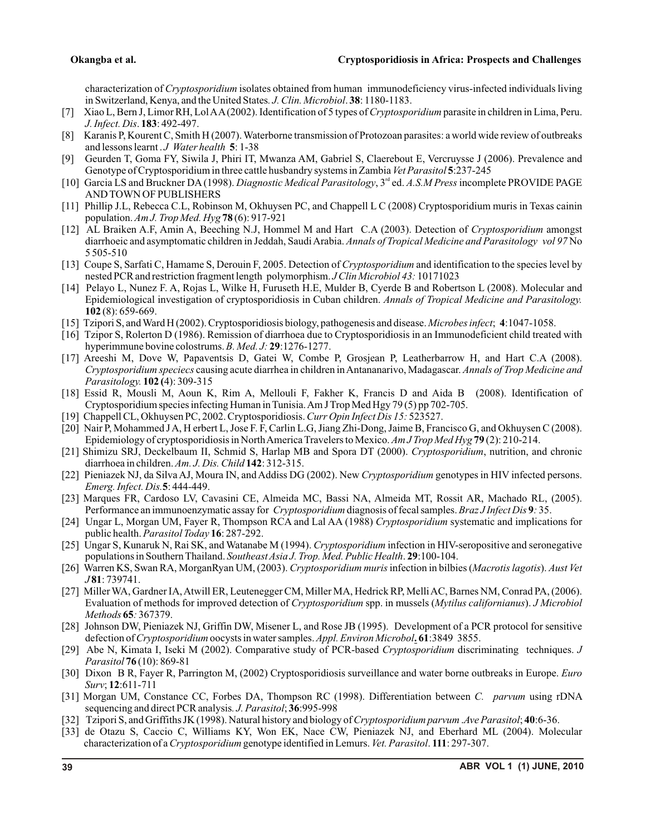characterization of *Cryptosporidium* isolates obtained from human immunodeficiency virus-infected individuals living in Switzerland, Kenya, and the United States*. J. Clin. Microbiol*. **38**: 1180-1183.

- [7] Xiao L, Bern J, Limor RH, Lol AA(2002). Identification of 5 types of *Cryptosporidium* parasite in children in Lima, Peru. *J. Infect. Dis*. **183**: 492-497.
- [8] Karanis P, Kourent C, Smith H (2007). Waterborne transmission of Protozoan parasites: a world wide review of outbreaks and lessons learnt . *J Water health* **5**: 1-38
- [9] Geurden T, Goma FY, Siwila J, Phiri IT, Mwanza AM, Gabriel S, Claerebout E, Vercruysse J (2006). Prevalence and Genotype of Cryptosporidium in three cattle husbandry systems in Zambia *Vet Parasitol* **5**:237-245
- [10] Garcia LS and Bruckner DA(1998). *Diagnostic Medical Parasitology*, 3<sup>rd</sup> ed. *A.S.M Press* incomplete PROVIDE PAGE AND TOWN OF PUBLISHERS
- [11] Phillip J.L, Rebecca C.L, Robinson M, Okhuysen PC, and Chappell L C (2008) Cryptosporidium muris in Texas cainin population. *Am J. Trop Med. Hyg* **78** (6): 917-921
- [12] AL Braiken A.F, Amin A, Beeching N.J, Hommel M and Hart C.A (2003). Detection of *Cryptosporidium* amongst diarrhoeic and asymptomatic children in Jeddah, Saudi Arabia. *Annals of Tropical Medicine and Parasitology vol 97* No 5 505-510
- [13] Coupe S, Sarfati C, Hamame S, Derouin F, 2005. Detection of *Cryptosporidium* and identification to the species level by nested PCR and restriction fragment length polymorphism. *J Clin Microbiol 43:* 10171023
- [14] Pelayo L, Nunez F. A, Rojas L, Wilke H, Furuseth H.E, Mulder B, Cyerde B and Robertson L (2008). Molecular and Epidemiological investigation of cryptosporidiosis in Cuban children. *Annals of Tropical Medicine and Parasitology.*  **102** (8): 659-669.
- [15] Tzipori S, and Ward H (2002). Cryptosporidiosis biology, pathogenesis and disease. *Microbes infect*; **4**:1047-1058.
- [16] Tzipor S, Rolerton D (1986). Remission of diarrhoea due to Cryptosporidiosis in an Immunodeficient child treated with hyperimmune bovine colostrums. *B. Med. J:* **29**:1276-1277.
- [17] Areeshi M, Dove W, Papaventsis D, Gatei W, Combe P, Grosjean P, Leatherbarrow H, and Hart C.A (2008). *Cryptosporidium speciecs* causing acute diarrhea in children in Antananarivo, Madagascar. *Annals of Trop Medicine and Parasitology.* **102 (**4): 309-315
- [18] Essid R, Mousli M, Aoun K, Rim A, Mellouli F, Fakher K, Francis D and Aida B (2008). Identification of Cryptosporidium species infecting Human in Tunisia. Am J Trop Med Hgy 79 (5) pp 702-705.
- [19] Chappell CL, Okhuysen PC, 2002. Cryptosporidiosis. *Curr Opin Infect Dis 15:* 523527.
- [20] Nair P, Mohammed J A, H erbert L, Jose F. F, Carlin L.G, Jiang Zhi-Dong, Jaime B, Francisco G, and Okhuysen C (2008). Epidemiology of cryptosporidiosis in North America Travelers to Mexico. *Am J Trop Med Hyg* **79** (2): 210-214.
- [21] Shimizu SRJ, Deckelbaum II, Schmid S, Harlap MB and Spora DT (2000). *Cryptosporidium*, nutrition, and chronic diarrhoea in children. *Am. J. Dis. Child* **142**: 312-315.
- [22] Pieniazek NJ, da Silva AJ, Moura IN, and Addiss DG (2002). New *Cryptosporidium* genotypes in HIV infected persons. *Emerg. Infect. Dis.***5**: 444-449.
- [23] Marques FR, Cardoso LV, Cavasini CE, Almeida MC, Bassi NA, Almeida MT, Rossit AR, Machado RL, (2005). Performance an immunoenzymatic assay for *Cryptosporidium* diagnosis of fecal samples. *Braz J Infect Dis* **9***:* 35.
- [24] Ungar L, Morgan UM, Fayer R, Thompson RCA and Lal AA (1988) *Cryptosporidium* systematic and implications for public health. *Parasitol Today* **16**: 287-292.
- [25] Ungar S, Kunaruk N, Rai SK, and Watanabe M (1994). *Cryptosporidium* infection in HIV-seropositive and seronegative populations in Southern Thailand. *Southeast Asia J. Trop. Med. Public Health*. **29**:100-104.
- [26] Warren KS, Swan RA, MorganRyan UM, (2003). *Cryptosporidium muris* infection in bilbies (*Macrotis lagotis*). *Aust Vet J* **81**: 739741.
- [27] Miller WA, Gardner IA, Atwill ER, Leutenegger CM, Miller MA, Hedrick RP, Melli AC, Barnes NM, Conrad PA, (2006). Evaluation of methods for improved detection of *Cryptosporidium* spp. in mussels (*Mytilus californianus*). *J Microbiol Methods* **65***:* 367379.
- [28] Johnson DW, Pieniazek NJ, Griffin DW, Misener L, and Rose JB (1995). Development of a PCR protocol for sensitive defection of *Cryptosporidium* oocysts in water samples. *Appl. Environ Microbol***. 61**:3849 3855.
- [29] Abe N, Kimata I, Iseki M (2002). Comparative study of PCR-based *Cryptosporidium* discriminating techniques. *J Parasitol* **76** (10): 869-81
- [30] Dixon B R, Fayer R, Parrington M, (2002) Cryptosporidiosis surveillance and water borne outbreaks in Europe. *Euro Surv*; **12**:611-711
- [31] Morgan UM, Constance CC, Forbes DA, Thompson RC (1998). Differentiation between *C. parvum* using rDNA sequencing and direct PCR analysis*. J. Parasitol*; **36**:995-998
- [32] Tzipori S, and Griffiths JK (1998). Natural history and biology of *Cryptosporidium parvum* .*Ave Parasitol*; **40**:6-36.
- [33] de Otazu S, Caccio C, Williams KY, Won EK, Nace CW, Pieniazek NJ, and Eberhard ML (2004). Molecular characterization of a *Cryptosporidium* genotype identified in Lemurs. *Vet. Parasitol*. **111**: 297-307.